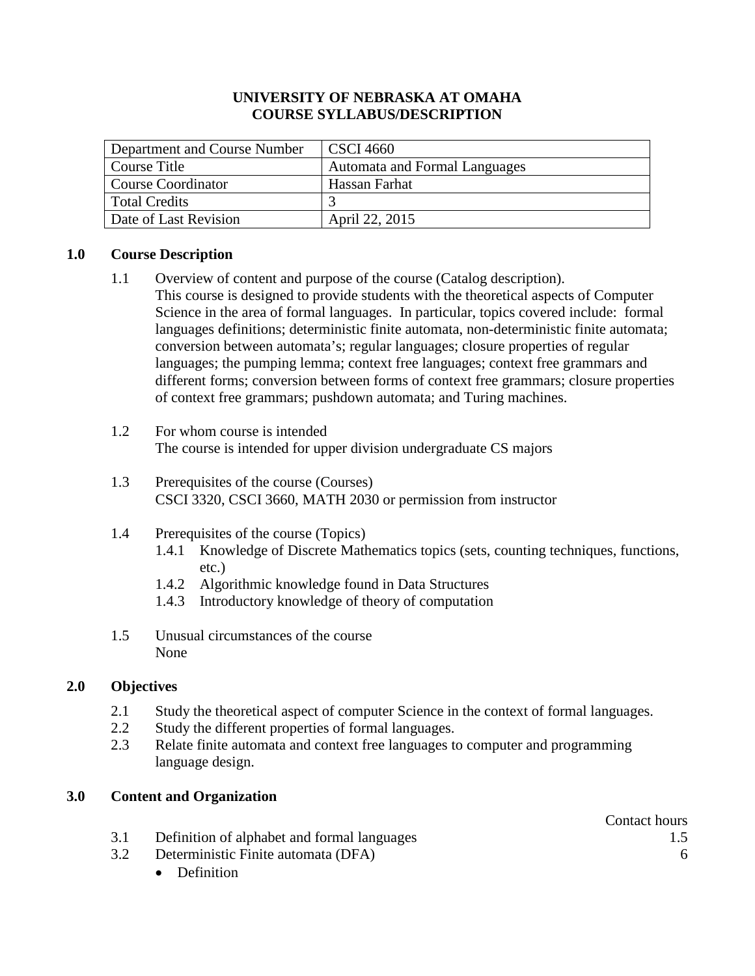### **UNIVERSITY OF NEBRASKA AT OMAHA COURSE SYLLABUS/DESCRIPTION**

| Department and Course Number | <b>CSCI</b> 4660                     |
|------------------------------|--------------------------------------|
| Course Title                 | <b>Automata and Formal Languages</b> |
| Course Coordinator           | Hassan Farhat                        |
| Total Credits                |                                      |
| Date of Last Revision        | April 22, 2015                       |

### **1.0 Course Description**

- 1.1 Overview of content and purpose of the course (Catalog description). This course is designed to provide students with the theoretical aspects of Computer Science in the area of formal languages. In particular, topics covered include: formal languages definitions; deterministic finite automata, non-deterministic finite automata; conversion between automata's; regular languages; closure properties of regular languages; the pumping lemma; context free languages; context free grammars and different forms; conversion between forms of context free grammars; closure properties of context free grammars; pushdown automata; and Turing machines.
- 1.2 For whom course is intended The course is intended for upper division undergraduate CS majors
- 1.3 Prerequisites of the course (Courses) CSCI 3320, CSCI 3660, MATH 2030 or permission from instructor
- 1.4 Prerequisites of the course (Topics)
	- 1.4.1 Knowledge of Discrete Mathematics topics (sets, counting techniques, functions, etc.)
	- 1.4.2 Algorithmic knowledge found in Data Structures
	- 1.4.3 Introductory knowledge of theory of computation
- 1.5 Unusual circumstances of the course None

# **2.0 Objectives**

- 2.1 Study the theoretical aspect of computer Science in the context of formal languages.
- 2.2 Study the different properties of formal languages.
- 2.3 Relate finite automata and context free languages to computer and programming language design.

# **3.0 Content and Organization**

- 3.1 Definition of alphabet and formal languages 1.5
- 3.2 Deterministic Finite automata (DFA) 6
	- Definition

Contact hours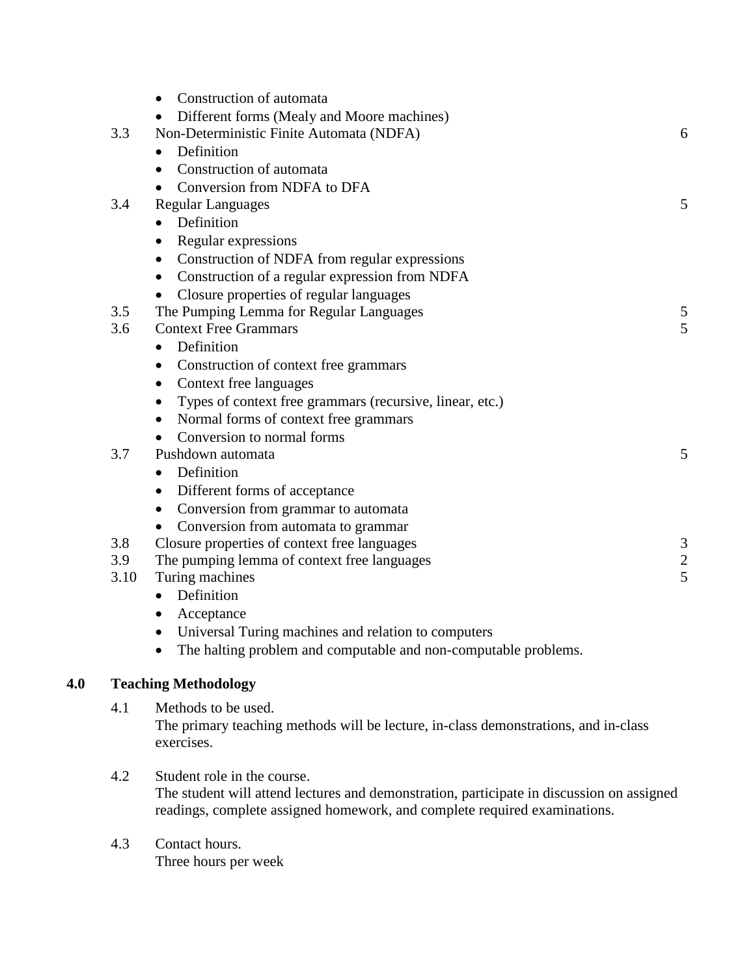|      | Construction of automata<br>$\bullet$                           |               |
|------|-----------------------------------------------------------------|---------------|
|      | Different forms (Mealy and Moore machines)                      |               |
| 3.3  | Non-Deterministic Finite Automata (NDFA)                        | 6             |
|      | Definition<br>$\bullet$                                         |               |
|      | Construction of automata<br>$\bullet$                           |               |
|      | Conversion from NDFA to DFA                                     |               |
| 3.4  | <b>Regular Languages</b>                                        | 5             |
|      | Definition<br>$\bullet$                                         |               |
|      | Regular expressions<br>$\bullet$                                |               |
|      | Construction of NDFA from regular expressions<br>$\bullet$      |               |
|      | Construction of a regular expression from NDFA<br>$\bullet$     |               |
|      | Closure properties of regular languages                         |               |
| 3.5  | The Pumping Lemma for Regular Languages                         | 5             |
| 3.6  | <b>Context Free Grammars</b>                                    | 5             |
|      | Definition<br>$\bullet$                                         |               |
|      | Construction of context free grammars<br>$\bullet$              |               |
|      | Context free languages<br>$\bullet$                             |               |
|      | Types of context free grammars (recursive, linear, etc.)        |               |
|      | Normal forms of context free grammars<br>$\bullet$              |               |
|      | Conversion to normal forms                                      |               |
| 3.7  | Pushdown automata                                               | 5             |
|      | Definition<br>$\bullet$                                         |               |
|      | Different forms of acceptance<br>$\bullet$                      |               |
|      | Conversion from grammar to automata                             |               |
|      | Conversion from automata to grammar<br>$\bullet$                |               |
| 3.8  | Closure properties of context free languages                    | 3             |
| 3.9  | The pumping lemma of context free languages                     | $\frac{2}{5}$ |
| 3.10 | Turing machines                                                 |               |
|      | Definition<br>$\bullet$                                         |               |
|      | Acceptance<br>$\bullet$                                         |               |
|      | Universal Turing machines and relation to computers             |               |
|      | The halting problem and computable and non-computable problems. |               |

# **4.0 Teaching Methodology**

4.1 Methods to be used. The primary teaching methods will be lecture, in-class demonstrations, and in-class exercises.

- 4.2 Student role in the course. The student will attend lectures and demonstration, participate in discussion on assigned readings, complete assigned homework, and complete required examinations.
- 4.3 Contact hours. Three hours per week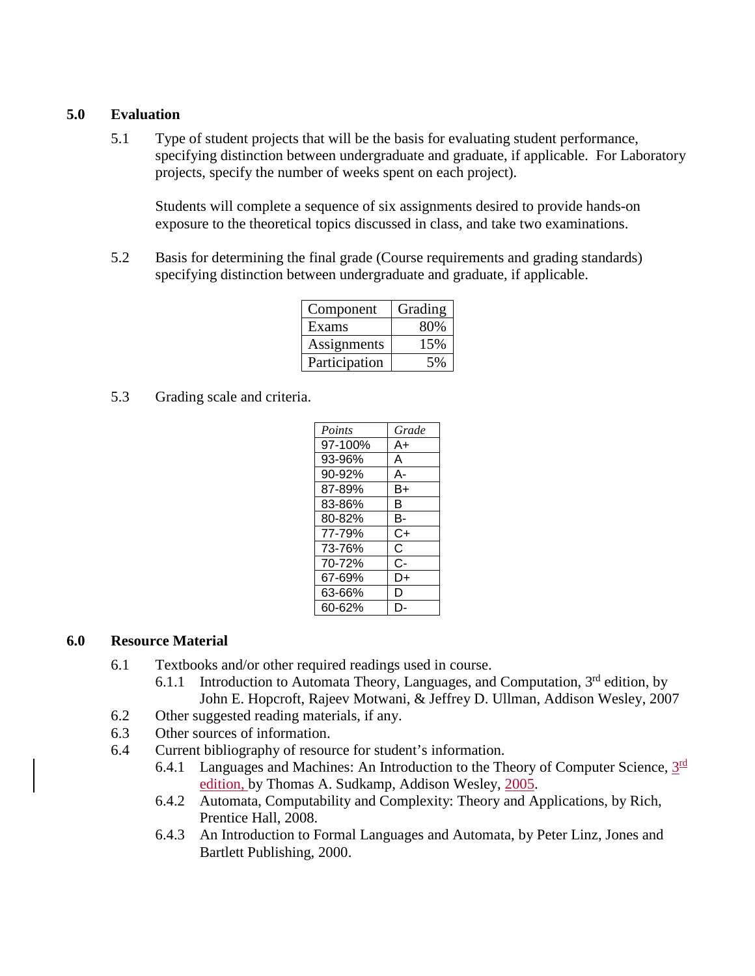### **5.0 Evaluation**

5.1 Type of student projects that will be the basis for evaluating student performance, specifying distinction between undergraduate and graduate, if applicable. For Laboratory projects, specify the number of weeks spent on each project).

Students will complete a sequence of six assignments desired to provide hands-on exposure to the theoretical topics discussed in class, and take two examinations.

5.2 Basis for determining the final grade (Course requirements and grading standards) specifying distinction between undergraduate and graduate, if applicable.

| Component     | Grading |  |
|---------------|---------|--|
| Exams         | 80%     |  |
| Assignments   | 15%     |  |
| Participation | 5%      |  |

5.3 Grading scale and criteria.

| Points  | Grade |
|---------|-------|
| 97-100% | A+    |
| 93-96%  | A     |
| 90-92%  | А-    |
| 87-89%  | B+    |
| 83-86%  | в     |
| 80-82%  | в-    |
| 77-79%  | C+    |
| 73-76%  | C     |
| 70-72%  | င-    |
| 67-69%  | D+    |
| 63-66%  | D     |
| 60-62%  |       |

#### **6.0 Resource Material**

- 6.1 Textbooks and/or other required readings used in course.
	- 6.1.1 Introduction to Automata Theory, Languages, and Computation,  $3<sup>rd</sup>$  edition, by John E. Hopcroft, Rajeev Motwani, & Jeffrey D. Ullman, Addison Wesley, 2007
- 6.2 Other suggested reading materials, if any.
- 6.3 Other sources of information.
- 6.4 Current bibliography of resource for student's information.
	- 6.4.1 Languages and Machines: An Introduction to the Theory of Computer Science,  $3^{\text{rd}}$ edition, by Thomas A. Sudkamp, Addison Wesley, 2005.
	- 6.4.2 Automata, Computability and Complexity: Theory and Applications, by Rich, Prentice Hall, 2008.
	- 6.4.3 An Introduction to Formal Languages and Automata, by Peter Linz, Jones and Bartlett Publishing, 2000.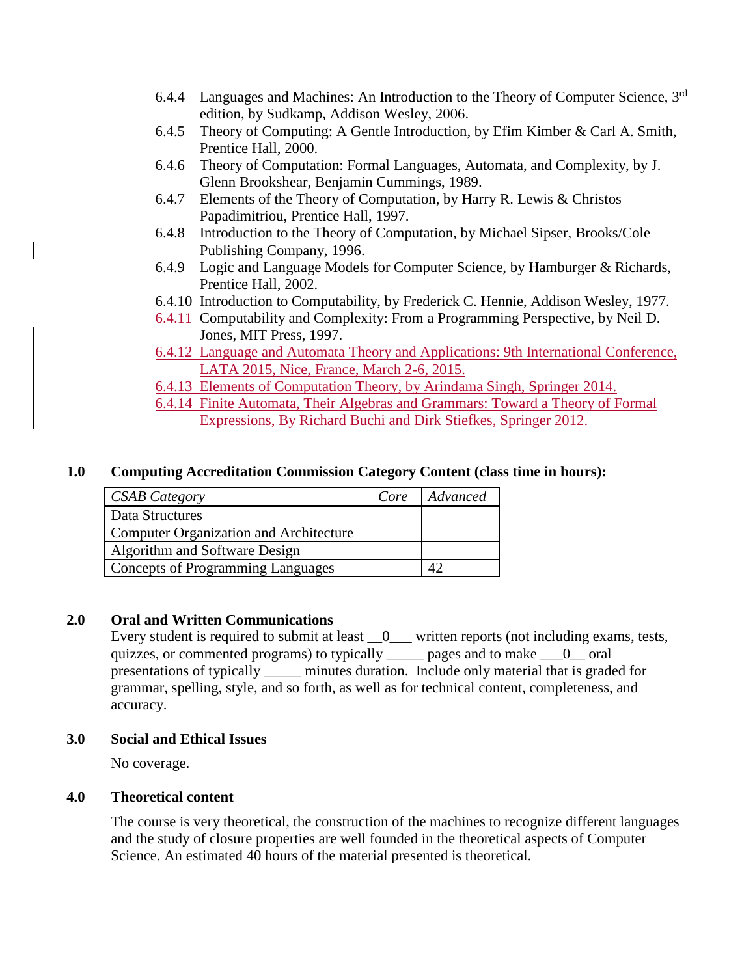- 6.4.4 Languages and Machines: An Introduction to the Theory of Computer Science, 3<sup>rd</sup> edition, by Sudkamp, Addison Wesley, 2006.
- 6.4.5 Theory of Computing: A Gentle Introduction, by Efim Kimber & Carl A. Smith, Prentice Hall, 2000.
- 6.4.6 Theory of Computation: Formal Languages, Automata, and Complexity, by J. Glenn Brookshear, Benjamin Cummings, 1989.
- 6.4.7 Elements of the Theory of Computation, by Harry R. Lewis & Christos Papadimitriou, Prentice Hall, 1997.
- 6.4.8 Introduction to the Theory of Computation, by Michael Sipser, Brooks/Cole Publishing Company, 1996.
- 6.4.9 Logic and Language Models for Computer Science, by Hamburger & Richards, Prentice Hall, 2002.
- 6.4.10 Introduction to Computability, by Frederick C. Hennie, Addison Wesley, 1977.
- 6.4.11 Computability and Complexity: From a Programming Perspective, by Neil D. Jones, MIT Press, 1997.
- 6.4.12 Language and Automata Theory and Applications: 9th International Conference, LATA 2015, Nice, France, March 2-6, 2015.
- 6.4.13 Elements of Computation Theory, by Arindama Singh, Springer 2014.
- 6.4.14 Finite Automata, Their Algebras and Grammars: Toward a Theory of Formal Expressions, By Richard Buchi and Dirk Stiefkes, Springer 2012.

# **1.0 Computing Accreditation Commission Category Content (class time in hours):**

| <b>CSAB</b> Category                          | Core | Advanced |
|-----------------------------------------------|------|----------|
| Data Structures                               |      |          |
| <b>Computer Organization and Architecture</b> |      |          |
| Algorithm and Software Design                 |      |          |
| <b>Concepts of Programming Languages</b>      |      |          |

# **2.0 Oral and Written Communications**

Every student is required to submit at least  $\_\_0$  written reports (not including exams, tests, quizzes, or commented programs) to typically \_\_\_\_\_ pages and to make \_\_\_0\_\_ oral presentations of typically \_\_\_\_\_ minutes duration. Include only material that is graded for grammar, spelling, style, and so forth, as well as for technical content, completeness, and accuracy.

# **3.0 Social and Ethical Issues**

No coverage.

# **4.0 Theoretical content**

The course is very theoretical, the construction of the machines to recognize different languages and the study of closure properties are well founded in the theoretical aspects of Computer Science. An estimated 40 hours of the material presented is theoretical.